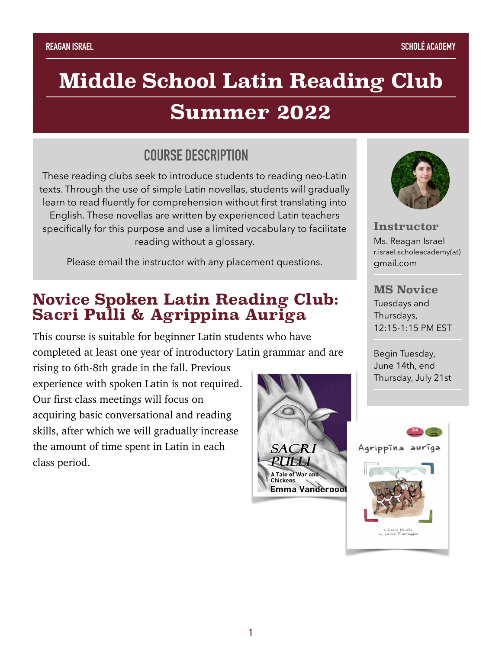# **Middle School Latin Reading Club**

## **Summer 2022**

### **COURSE DESCRIPTION**

These reading clubs seek to introduce students to reading neo-Latin texts. Through the use of simple Latin novellas, students will gradually learn to read fluently for comprehension without first translating into English. These novellas are written by experienced Latin teachers specifically for this purpose and use a limited vocabulary to facilitate reading without a glossary.

Please email the instructor with any placement questions.

### **Novice Spoken Latin Reading Club: Sacri Pulli & Agrippina Auriga**

This course is suitable for beginner Latin students who have completed at least one year of introductory Latin grammar and are

rising to 6th-8th grade in the fall. Previous experience with spoken Latin is not required. Our first class meetings will focus on acquiring basic conversational and reading skills, after which we will gradually increase the amount of time spent in Latin in each class period.





**Instructor**  Ms. Reagan Israel r.israel.scholeacademy(at) [gmail.com](http://gmail.com)

#### **MS Novice** Tuesdays and Thursdays, 12:15-1:15 PM EST

Begin Tuesday, June 14th, end Thursday, July 21st

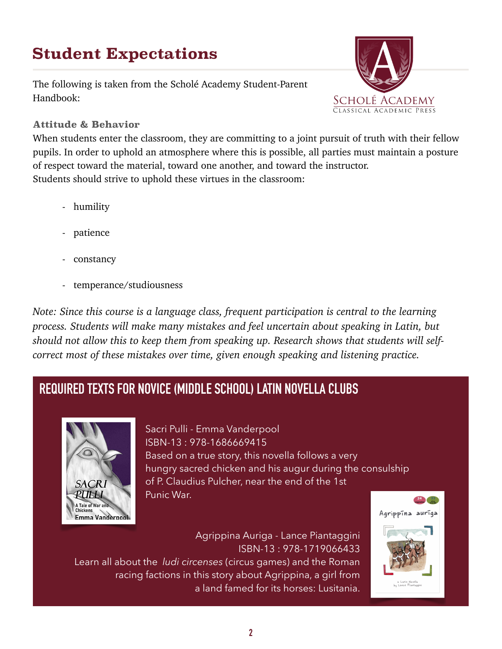## **Student Expectations**

The following is taken from the Scholé Academy Student-Parent Handbook:



#### **Attitude & Behavior**

When students enter the classroom, they are committing to a joint pursuit of truth with their fellow pupils. In order to uphold an atmosphere where this is possible, all parties must maintain a posture of respect toward the material, toward one another, and toward the instructor. Students should strive to uphold these virtues in the classroom:

- humility
- patience
- constancy
- temperance/studiousness

*Note: Since this course is a language class, frequent participation is central to the learning process. Students will make many mistakes and feel uncertain about speaking in Latin, but should not allow this to keep them from speaking up. Research shows that students will selfcorrect most of these mistakes over time, given enough speaking and listening practice.* 

### **REQUIRED TEXTS FOR NOVICE (MIDDLE SCHOOL) LATIN NOVELLA CLUBS**



Sacri Pulli - Emma Vanderpool ISBN-13 : 978-1686669415 Based on a true story, this novella follows a very hungry sacred chicken and his augur during the consulship of P. Claudius Pulcher, near the end of the 1st Punic War.

Agrippina Auriga - Lance Piantaggini ISBN-13 : 978-1719066433 Learn all about the *ludi circenses* (circus games) and the Roman racing factions in this story about Agrippina, a girl from a land famed for its horses: Lusitania.